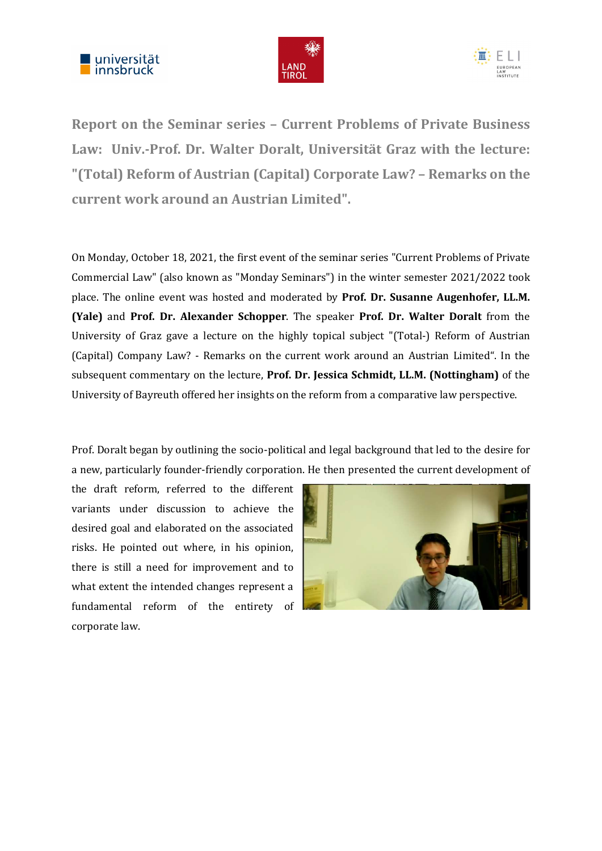





Report on the Seminar series – Current Problems of Private Business Law: Univ.-Prof. Dr. Walter Doralt, Universität Graz with the lecture: "(Total) Reform of Austrian (Capital) Corporate Law? – Remarks on the current work around an Austrian Limited".

On Monday, October 18, 2021, the first event of the seminar series "Current Problems of Private Commercial Law" (also known as "Monday Seminars") in the winter semester 2021/2022 took place. The online event was hosted and moderated by Prof. Dr. Susanne Augenhofer, LL.M. (Yale) and Prof. Dr. Alexander Schopper. The speaker Prof. Dr. Walter Doralt from the University of Graz gave a lecture on the highly topical subject "(Total-) Reform of Austrian (Capital) Company Law? - Remarks on the current work around an Austrian Limited". In the subsequent commentary on the lecture, Prof. Dr. Jessica Schmidt, LL.M. (Nottingham) of the University of Bayreuth offered her insights on the reform from a comparative law perspective.

Prof. Doralt began by outlining the socio-political and legal background that led to the desire for a new, particularly founder-friendly corporation. He then presented the current development of

the draft reform, referred to the different variants under discussion to achieve the desired goal and elaborated on the associated risks. He pointed out where, in his opinion, there is still a need for improvement and to what extent the intended changes represent a fundamental reform of the entirety of corporate law.